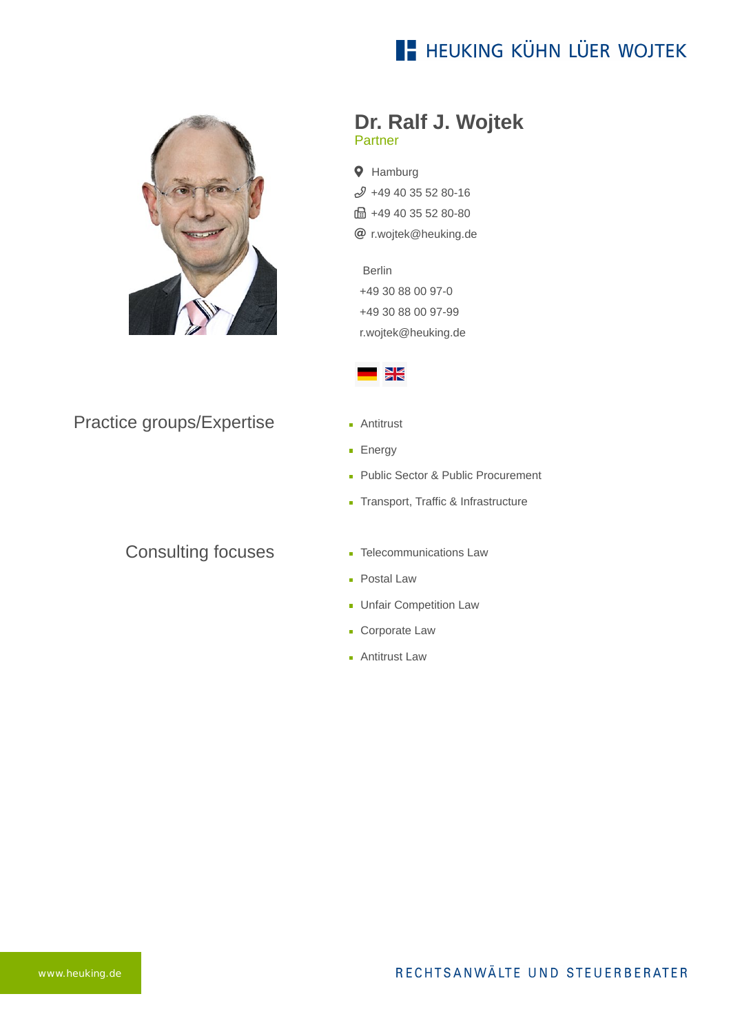## **E- HEUKING KÜHN LÜER WOJTEK**



#### Practice groups/Expertise

### Consulting focuses

#### **Dr. Ralf J. Wojtek** Partner

- **9** Hamburg [+49 40 35 52 80-16](tel:+494035528016)
- fa +49 40 35 52 80-80
- [r.wojtek@heuking.de](mailto:r.wojtek@heuking.de?subject=Contact%20via%20website%20heuking.de)

Berlin [+49 30 88 00 97-0](tel:+49308800970) +49 30 88 00 97-99 [r.wojtek@heuking.de](javascript:linkTo_UnCryptMailto(%27kygjrm8p%2CumhrciYfcsigle%2Cbc%3Fqszhcar%3DAmlryar%250.tgy%250.uczqgrc%250.fcsigle%2Cbc%27);)



- **Antitrust**
- **Energy**
- **Public Sector & Public Procurement**
- **Transport, Traffic & Infrastructure**
- **Telecommunications Law**
- **Postal Law**
- **Unfair Competition Law**
- **Corporate Law**
- **Antitrust Law**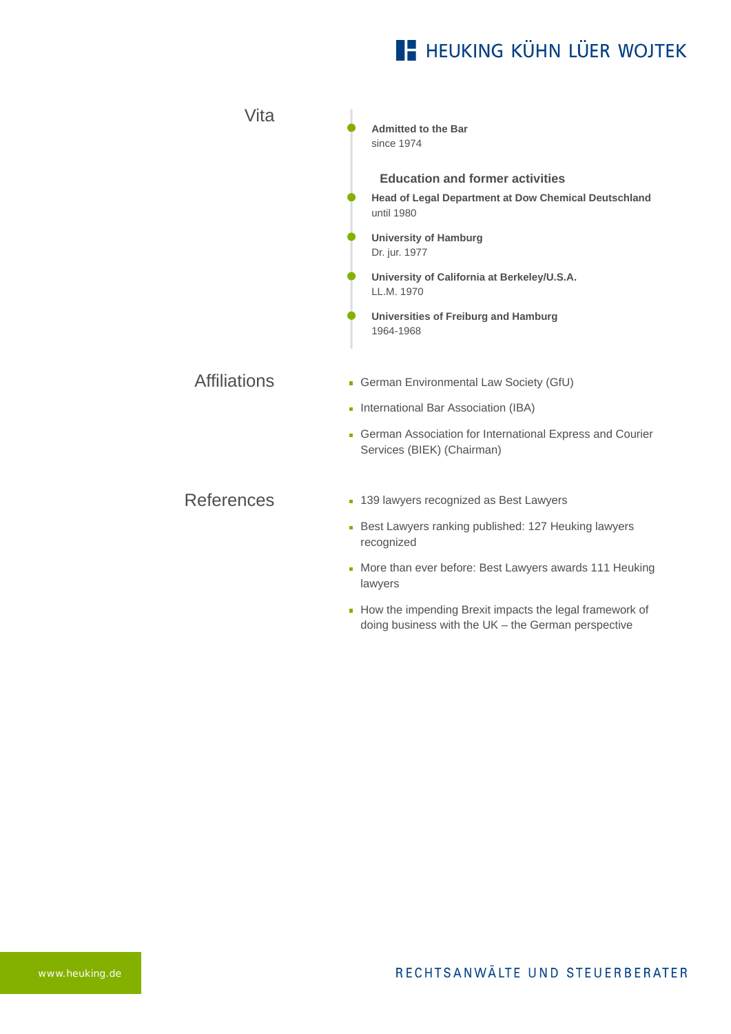# **E- HEUKING KÜHN LÜER WOJTEK**

| Vita                | <b>Admitted to the Bar</b><br>since 1974                                               |
|---------------------|----------------------------------------------------------------------------------------|
|                     | <b>Education and former activities</b>                                                 |
|                     | Head of Legal Department at Dow Chemical Deutschland<br>until 1980                     |
|                     | <b>University of Hamburg</b><br>Dr. jur. 1977                                          |
|                     | University of California at Berkeley/U.S.A.<br>LL.M. 1970                              |
|                     | Universities of Freiburg and Hamburg<br>1964-1968                                      |
| <b>Affiliations</b> | German Environmental Law Society (GfU)                                                 |
|                     | International Bar Association (IBA)<br>m.                                              |
|                     | German Association for International Express and Courier<br>Services (BIEK) (Chairman) |
| <b>References</b>   | ■ 139 lawyers recognized as Best Lawyers                                               |
|                     |                                                                                        |
|                     | Best Lawyers ranking published: 127 Heuking lawyers<br>recognized                      |
|                     | • More than ever before: Best Lawyers awards 111 Heuking<br>lawyers                    |
|                     |                                                                                        |

[How the impending Brexit impacts the legal framework of](https://www.heuking.de/en/lawyers/detail/pdf-download.html?lawyer=279&cHash=cc5646f1868657d15b9d0d2e865071b7) doing business with the UK – the German perspective